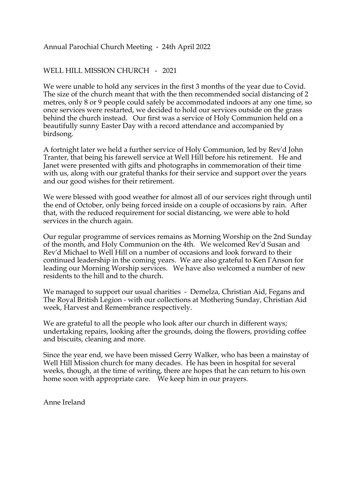## Annual Parochial Church Meeting - 24th April 2022

## WELL HILL MISSION CHURCH - 2021

We were unable to hold any services in the first 3 months of the year due to Covid. The size of the church meant that with the then recommended social distancing of 2 metres, only 8 or 9 people could safely be accommodated indoors at any one time, so once services were restarted, we decided to hold our services outside on the grass behind the church instead. Our first was a service of Holy Communion held on a beautifully sunny Easter Day with a record attendance and accompanied by birdsong.

A fortnight later we held a further service of Holy Communion, led by Rev'd John Tranter, that being his farewell service at Well Hill before his retirement. He and Janet were presented with gifts and photographs in commemoration of their time with us, along with our grateful thanks for their service and support over the years and our good wishes for their retirement.

We were blessed with good weather for almost all of our services right through until the end of October, only being forced inside on a couple of occasions by rain. After that, with the reduced requirement for social distancing, we were able to hold services in the church again.

Our regular programme of services remains as Morning Worship on the 2nd Sunday of the month, and Holy Communion on the 4th. We welcomed Rev'd Susan and Rev'd Michael to Well Hill on a number of occasions and look forward to their continued leadership in the coming years. We are also grateful to Ken I'Anson for leading our Morning Worship services. We have also welcomed a number of new residents to the hill and to the church.

We managed to support our usual charities - Demelza, Christian Aid, Fegans and The Royal British Legion - with our collections at Mothering Sunday, Christian Aid week, Harvest and Remembrance respectively.

We are grateful to all the people who look after our church in different ways; undertaking repairs, looking after the grounds, doing the flowers, providing coffee and biscuits, cleaning and more.

Since the year end, we have been missed Gerry Walker, who has been a mainstay of Well Hill Mission church for many decades. He has been in hospital for several weeks, though, at the time of writing, there are hopes that he can return to his own home soon with appropriate care. We keep him in our prayers.

Anne Ireland